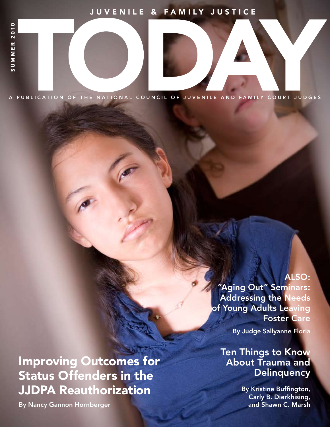# JUVENILE & FAMILY JUSTICE

A PUBLICATION OF THE NATIONAL COUNCIL OF JUVENILE AND FAMILY COURT JUDGES

Improving Outcomes for Status Offenders in the JJDPA Reauthorization

By Nancy Gannon Hornberger

## ALSO:

"Aging Out" Seminars: Addressing the Needs of Young Adults Leaving Foster Care

By Judge Sallyanne Floria

Ten Things to Know About Trauma and **Delinquency** 

JUVENILE AND FAMILY JUSTICE TODAY | SUMMER 2010 1

By Kristine Buffington, Carly B. Dierkhising, and Shawn C. Marsh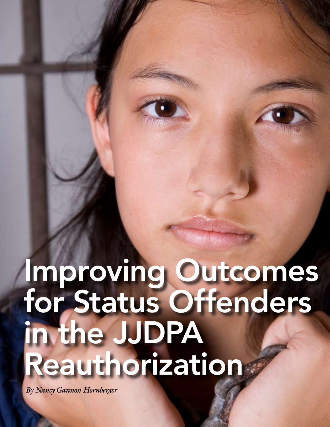# Improving Outcomes for Status Offenders in the JJDPA Reauthorization

*By Nancy Gannon Hornberger*

14 JUVENILE AND FAMILY JUSTICE TODAY IN A 1990 FOR AND FAMILY JUSTICE TODAY IN A 1990 FOR AND 1990 FOR AND 1990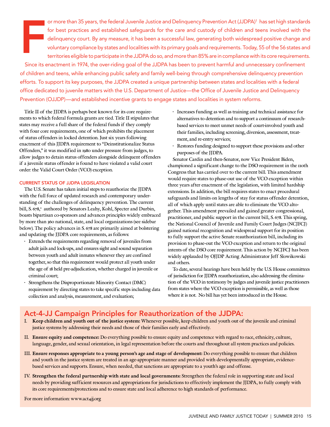F or more than 35 years, the federal Juvenile Justice and Delinquency Prevention Act (JJDPA)<sup>1</sup> has set high standards for best practices and established safeguards for the care and custody of children and teens involved with the delinquency court. By any measure, it has been a successful law, generating both widespread positive change and voluntary compliance by states and localities with its primary goals and requirements. Today, 55 of the 56 states and territories eligible to participate in the JJDPA do so, and more than 85% are in compliance with its core requirements.

Since its enactment in 1974, the over-riding goal of the JJDPA has been to prevent harmful and unnecessary confinement of children and teens, while enhancing public safety and family well-being through comprehensive delinquency prevention efforts. To support its key purposes, the JJDPA created a unique partnership between states and localities with a federal office dedicated to juvenile matters with the U.S. Department of Justice—the Office of Juvenile Justice and Delinquency Prevention (OJJDP)—and established incentive grants to engage states and localities in system reforms.

Title II of the JJDPA is perhaps best known for its core requirements to which federal formula grants are tied. Title II stipulates that states may receive a full share of the federal funds if they comply with four core requirements, one of which prohibits the placement of status offenders in locked detention. Just six years following enactment of this JJDPA requirement to "Deinstitutionalize Status Offenders," it was modified in 1980 under pressure from judges, to allow judges to detain status offenders alongside delinquent offenders if a juvenile status offender is found to have violated a valid court order: the Valid Court Order (VCO) exception.

#### CURRENT STATUS OF JJDPA LEGISLATION

The U.S. Senate has taken initial steps to reauthorize the JJDPA with the full force of updated research and contemporary understanding of the challenges of delinquency prevention. The current bill, S. 678,<sup>2</sup> authored by Senators Leahy, Kohl, Specter and Durbin, boasts bipartisan co-sponsors and advances principles widely embraced by more than 360 national, state, and local organizations (see sidebar below). The policy advances in S. 678 are primarily aimed at bolstering and updating the JJDPA core requirements, as follows:

- Extends the requirements regarding removal of juveniles from adult jails and lock-ups, and ensures sight and sound separation between youth and adult inmates whenever they are confined together, so that this requirement would protect all youth under the age of 18 held pre-adjudication, whether charged in juvenile or criminal court;
- Strengthens the Disproportionate Minority Contact (DMC) requirement by directing states to take specific steps including data collection and analysis, measurement, and evaluation;
- Increases funding as well as training and technical assistance for alternatives to detention and to support a continuum of researchbased services to meet unmet needs of court-involved youth and their families, including screening, diversion, assessment, treatment, and re-entry services;
- Restores funding designed to support these provisions and other purposes of the JJDPA.

Senator Cardin and then-Senator, now Vice President Biden, championed a significant change to the DSO requirement in the 110th Congress that has carried over to the current bill. This amendment would require states to phase-out use of the VCO exception within three years after enactment of the legislation, with limited hardship extensions. In addition, the bill requires states to enact procedural safeguards and limits on lengths of stay for status offender detention, all of which apply until states are able to eliminate the VCO altogether. This amendment prevailed and gained greater congressional, practitioner, and public support in the current bill, S. 678. This spring, the National Council of Juvenile and Family Court Judges (NCJFCJ) gained national recognition and widespread support for its position to fully support the active Senate reauthorization bill, including its provision to phase-out the VCO exception and return to the original intents of the DSO core requirement. This action by NCJFCJ has been widely applauded by OJJDP Acting Administrator Jeff Slowikowski and others.

To date, several hearings have been held by the U.S. House committees of jurisdiction for JJDPA reauthorization, also addressing the elimination of the VCO in testimony by judges and juvenile justice practitioners from states where the VCO exception is permissible, as well as those where it is not. No bill has yet been introduced in the House.

# Act-4-JJ Campaign Principles for Reauthorization of the JJDPA:

- I. **Keep children and youth out of the justice system:** Whenever possible, keep children and youth out of the juvenile and criminal justice systems by addressing their needs and those of their families early and effectively.
- II. **Ensure equity and competence:** Do everything possible to ensure equity and competence with regard to race, ethnicity, culture, language, gender, and sexual orientation, in legal representation before the courts and throughout all system practices and policies.
- III. **Ensure responses appropriate to a young person's age and stage of development:** Do everything possible to ensure that children and youth in the justice system are treated in an age-appropriate manner and provided with developmentally appropriate, evidencebased services and supports. Ensure, when needed, that sanctions are appropriate to a youth's age and offense.
- IV. **Strengthen the federal partnership with state and local governments:** Strengthen the federal role in supporting state and local needs by providing sufficient resources and appropriations for jurisdictions to effectively implement the JJDPA, to fully comply with its core requirements/protections and to ensure state and local adherence to high standards of performance.

For more information: www.act4jj.org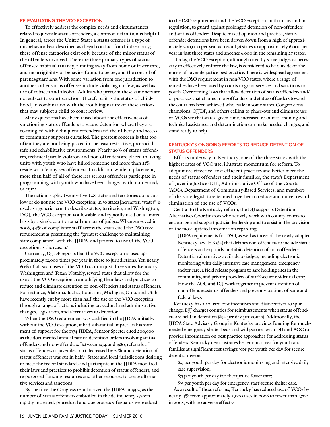#### Re-evaluating the VCO Exception

To effectively address the complex needs and circumstances related to juvenile status offenders, a common definition is helpful. In general, across the United States a status offense is a type of misbehavior best described as illegal conduct for children only; these offense categories exist only because of the minor status of the offenders involved. There are three primary types of status offenses: habitual truancy, running away from home or foster care, and incorrigibility or behavior found to be beyond the control of parents/guardians. With some variation from one jurisdiction to another, other status offenses include violating curfew, as well as use of tobacco and alcohol. Adults who perform these same acts are not subject to court sanction. Therefore, it is the status of childhood, in combination with the troubling nature of these actions that may subject a child to court review.

Many questions have been raised about the effectiveness of sanctioning status offenders to secure detention where they are co-mingled with delinquent offenders and their liberty and access to community supports curtailed. The greatest concern is that too often they are not being placed in the least restrictive, pro-social, safe and rehabilitative environments. Nearly 20% of status offenders, technical parole violators and non-offenders are placed in living units with youth who have killed someone and more than 25% reside with felony sex offenders. In addition, while in placement, more than half of all of these less serious offenders participate in programming with youth who have been charged with murder and/ or rape.<sup>3</sup>

The nation is split. Twenty-five U.S. states and territories do not allow or do not use the VCO exception; in 30 states [hereafter, "states" is used as a generic term to describes states, territories, and Washington, D.C.], the VCO exception is allowable, and typically used on a limited basis by a single court or small number of judges. When surveyed in 2008, 44% of compliance staff across the states cited the DSO core requirement as presenting the "greatest challenge to maintaining state compliance" with the JJDPA, and pointed to use of the VCO exception as the reason.4

Currently, OJJDP reports that the VCO exception is used approximately 12,000 times per year in these 30 jurisdictions. Yet, nearly 60% of all such uses of the VCO occur in just three states: Kentucky, Washington and Texas.<sup>5</sup> Notably, several states that allow for the use of the VCO exception are modifying their laws and practices to reduce and eliminate detention of non-offenders and status offenders. For instance, Alabama, Idaho, Louisiana, Michigan, Ohio, and Utah have recently cut by more than half the use of the VCO exception through a range of actions including procedural and administrative changes, legislation, and alternatives to detention.

When the DSO requirement was codified in the JJDPA initially, without the VCO exception, it had substantial impact. In his statement of support for the 1974 JJDPA, Senator Specter cited 200,000 as the documented annual rate of detention orders involving status offenders and non-offenders. Between 1974 and 1980, referrals of status offenders to juvenile court decreased by 21%, and detention of status offenders was cut in half.<sup>6</sup> States and local jurisdictions desiring to meet the federal standards and participate in the JJDPA modified their laws and practices to prohibit detention of status offenders, and re-purposed funding resources and other resources to create alternative services and sanctions.

By the time the Congress reauthorized the JJDPA in 1992, as the number of status offenders embroiled in the delinquency system rapidly increased, procedural and due process safeguards were added to the DSO requirement and the VCO exception, both in law and in regulation, to guard against prolonged detention of non-offenders and status offenders. Despite mixed opinion and practice, status offender detentions have been driven down from a high of approximately 200,000 per year across all 56 states to approximately 6,000 per year in just three states and another 6,000 in the remaining 27 states.

 Today, the VCO exception, although cited by some judges as necessary to effectively enforce the law, is considered to be outside of the norms of juvenile justice best practice. There is widespread agreement with the DSO requirement in non-VCO states, where a range of remedies have been used by courts to grant services and sanctions to youth. Overcoming laws that allow detention of status offenders and/ or practices that channel non-offenders and status offenders toward the court has been achieved wholesale in some states. Congressional champions, OJJDP, and others calling to phase-out and eliminate use of VCOs see that states, given time, increased resources, training and technical assistance, and determination can make needed changes, and stand ready to help.

#### Kentucky's Ongoing Efforts to Reduce Detention of **STATUS OFFENDERS**

Efforts underway in Kentucky, one of the three states with the highest rates of VCO use, illustrate momentum for reform. To adopt more effective, cost-efficient practices and better meet the needs of status offenders and their families, the state's Department of Juvenile Justice (DJJ), Administrative Office of the Courts (AOC), Department of Community-Based Services, and members of the state legislature teamed together to reduce and move toward elimination of the use of VCOs.

Central to the Kentucky reform, the DJJ supports Detention Alternatives Coordinators who actively work with county courts to encourage and support judicial leadership and to assist in the provision of the most updated information regarding:

- JJDPA requirements for DSO, as well as those of the newly adopted Kentucky law (HB 384) that defines non-offenders to include status offenders and explicitly prohibits detention of non-offenders;
- Detention alternatives available to judges, including electronic monitoring with daily intensive case management, emergency shelter care, a field release program to safe holding sites in the community, and private providers of staff-secure residential care;
- How the AOC and DJJ work together to prevent detention of non-offenders/status offenders and prevent violations of state and federal laws.

Kentucky has also used cost incentives and disincentives to spur change. DJJ charges counties for reimbursements when status offenders are held in detention (\$94 per day per youth). Additionally, the JJDPA State Advisory Group in Kentucky provides funding for muchneeded emergency shelter beds and will partner with DJJ and AOC to provide information on best practice approaches for addressing status offenders. Kentucky demonstrates better outcomes for youth and families at significant cost savings: \$168 per youth per day for secure detention *versus*

- \$23 per youth per day for electronic monitoring and intensive daily case supervision;
- \$75 per youth per day for therapeutic foster care;
- \$93 per youth per day for emergency, staff-secure shelter care.

As a result of these reforms, Kentucky has reduced use of VCOs by nearly 15% from approximately 2,000 uses in 2006 to fewer than 1,700 in 2008, with no adverse effects.7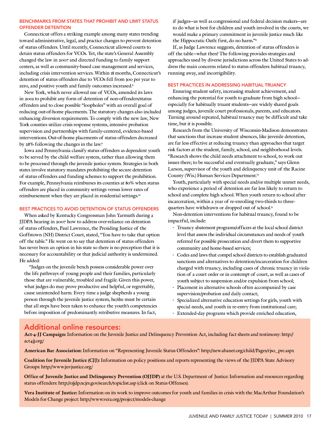#### Benchmarks from States that Prohibit and Limit Status Offender Detention

Connecticut offers a striking example among many states trending toward administrative, legal, and practice changes to prevent detention of status offenders. Until recently, Connecticut allowed courts to detain status offenders for VCOs. Yet, the state's General Assembly changed the law in 2007 and directed funding to family support centers, as well as community-based case management and services, including crisis intervention services. Within 18 months, Connecticut's detention of status offenders due to VCOs fell from 300 per year to zero, and positive youth and family outcomes increased.8

New York, which never allowed use of VCOs, amended its laws in 2005 to prohibit any form of detention of non-offenders/status offenders and to close possible "loopholes" with an overall goal of reducing out-of-home placements. The statutory changes also included enhancing diversion requirements. To comply with the new law, New York counties utilize crisis response systems, intensive probation supervision and partnerships with family-centered, evidence-based interventions. Out-of-home placements of status offenders decreased by 28% following the changes in the law.<sup>9</sup>

Iowa and Pennsylvania classify status offenders as dependent youth to be served by the child welfare system, rather than allowing them to be processed through the juvenile justice system. Strategies in both states involve statutory mandates prohibiting the secure detention of status offenders and funding schemes to support the prohibition. For example, Pennsylvania reimburses its counties at 80% when status offenders are placed in community settings versus lower rates of reimbursement when they are placed in residential settings.<sup>10</sup>

#### Best Practices to Avoid Detention of Status Offenders

When asked by Kentucky Congressman John Yarmuth during a JJDPA hearing in 2007 how to address over-reliance on detention of status offenders, Paul Lawrence, the Presiding Justice of the Goffstown (NH) District Court, stated, "You have to take that option off the table." He went on to say that detention of status offenders has never been an option in his state so there is no perception that it is necessary for accountability or that judicial authority is undermined. He added:

"Judges on the juvenile bench possess considerable power over the life pathways of young people and their families, particularly those that are vulnerable, troubled and fragile. Given this power, what judges do may prove productive and helpful, or regrettably, cause unintended harm. Every time a judge shepherds a young person through the juvenile justice system, he/she must be certain that all steps have been taken to enhance the youth's competencies before imposition of predominantly retributive measures. In fact,

if judges—as well as congressional and federal decision makers—are to do what is best for children and youth involved in the courts, we would make a primary commitment in juvenile justice much like the Hippocratic Oath: first, do no harm."11

If, as Judge Lawrence suggests, detention of status offenders is off the table—what then? The following provides strategies and approaches used by diverse jurisdictions across the United States to address the main concerns related to status offenders: habitual truancy, running away, and incorrigibility.

#### Best Practices in Addressing Habitual Truancy

Ensuring student safety, increasing student achievement, and enhancing the potential for youth to graduate from high school especially for habitually truant students—are widely shared goals among judges, juvenile court professionals, parents, and educators. Turning around repeated, habitual truancy may be difficult and take time, but it is possible.

Research from the University of Wisconsin-Madison demonstrates that sanctions that increase student absences, like juvenile detention, are far less effective at reducing truancy than approaches that target risk factors at the student, family, school, and neighborhood levels. "Research shows the child needs attachment to school, to work out issues there; to be successful and eventually graduate," says Glenn Larson, supervisor of the youth and delinquency unit of the Racine County (Wis.) Human Services Department.12

Youth, particularly with special needs and/or multiple unmet needs, who experience a period of detention are far less likely to return to school and complete high school. When youth return to school after incarceration, within a year of re-enrolling two-thirds to threequarters have withdrawn or dropped out of school.<sup>13</sup>

Non-detention interventions for habitual truancy, found to be impactful, include:

- Truancy abatement programs/officers at the local school district level that assess the individual circumstances and needs of youth referred for possible prosecution and divert them to supportive community and home-based services;
- Codes and laws that compel school districts to establish graduated sanctions and alternatives to detention/incarceration for children charged with truancy, including cases of chronic truancy in violation of a court order or in contempt of court, as well as cases of youth subject to suspension and/or expulsion from school;
- Placement in alternative schools often accompanied by case supervision/probation and daily contact;
- Specialized alternative education settings for girls, youth with special needs, and youth in re-entry from institutional care;
- Extended-day programs which provide enriched education,

### Additional online resources:

**Act-4-JJ Campaign:** Information on the Juvenile Justice and Delinquency Prevention Act, including fact sheets and testimony: http:// act4jj.org/

**American Bar Association:** Information on "Representing Juvenile Status Offenders": http://new.abanet.org/child/Pages/rjso\_pre.aspx

**Coalition for Juvenile Justice (CJJ):** Information on policy positions and reports representing the views of the JJDPA State Advisory Groups: http://www.juvjustice.org/

**Office of Juvenile Justice and Delinquency Prevention (OJJDP)** at the U.S. Department of Justice: Information and resources regarding status offenders: http://ojjdp.ncjrs.gov/search/topiclist.asp (click on Status Offenses).

**Vera Institute of Justice:** Information on its work to improve outcomes for youth and families in crisis with the MacArthur Foundation's Models for Change project: http://www.vera.org/project/models-change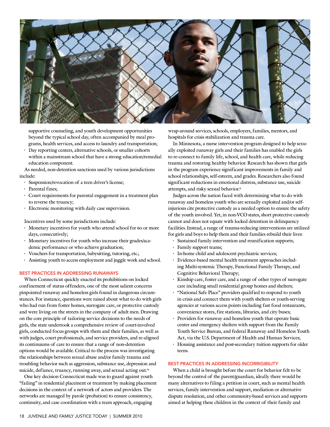

supportive counseling, and youth development opportunities beyond the typical school day, often accompanied by meal programs, health services, and access to laundry and transportation;

• Day reporting centers, alternative schools, or smaller cohorts within a mainstream school that have a strong education/remedial education component.

As needed, non-detention sanctions used by various jurisdictions include:

- Suspension/revocation of a teen driver's license;
- Parental fines;
- Court requirements for parental engagement in a treatment plan to reverse the truancy;
- Electronic monitoring with daily case supervision.

Incentives used by some jurisdictions include:

- Monetary incentives for youth who attend school for 60 or more days, consecutively;
- Monetary incentives for youth who increase their grades/academic performance or who achieve graduation;
- Vouchers for transportation, babysitting, tutoring, etc.;
- Assisting youth to access employment and juggle work and school.

#### Best Practices in Addressing Runaways

When Connecticut quickly enacted its prohibitions on locked confinement of status offenders, one of the most salient concerns pinpointed runaway and homeless girls found in dangerous circumstances. For instance, questions were raised about what to do with girls who had run from foster homes, surrogate care, or protective custody and were living on the streets in the company of adult men. Drawing on the core principle of tailoring service decisions to the needs of girls, the state undertook a comprehensive review of court-involved girls, conducted focus groups with them and their families, as well as with judges, court professionals, and service providers, and re-aligned its continuums of care to ensure that a range of non-detention options would be available. Critical to the process was investigating the relationships between sexual abuse and/or family trauma and troubling behavior such as aggression, substance use, depression and suicide, defiance, truancy, running away, and sexual acting out.<sup>14</sup>

One key decision Connecticut made was to guard against youth "failing" in residential placement or treatment by making placement decisions in the context of a network of actors and providers. The networks are managed by parole (probation) to ensure consistency, continuity, and case coordination with a team approach, engaging

wrap-around services, schools, employers, families, mentors, and hospitals for crisis stabilization and trauma care.

In Minnesota, a nurse intervention program designed to help sexually exploited runaway girls and their families has enabled the girls to re-connect to family life, school, and health care, while reducing trauma and restoring healthy behavior. Research has shown that girls in the program experience significant improvements in family and school relationships, self-esteem, and grades. Researchers also found significant reductions in emotional distress, substance use, suicide attempts, and risky sexual behavior.<sup>15</sup>

Judges across the nation faced with determining what to do with runaway and homeless youth who are sexually exploited and/or selfinjurious cite protective custody as a needed option to ensure the safety of the youth involved. Yet, in non-VCO states, short protective custody cannot and does not equate with locked detention in delinquency facilities. Instead, a range of trauma-reducing interventions are utilized for girls and boys to help them and their families rebuild their lives:

- Sustained family intervention and reunification supports;
- Family support teams;
- In-home child and adolescent psychiatric services;
- Evidence-based mental health treatment approaches including Multi-systemic Therapy, Functional Family Therapy, and Cognitive Behavioral Therapy;
- Kinship care, foster care, and a range of other types of surrogate care including small residential group homes and shelters;
- "National Safe Place" providers qualified to respond to youth in crisis and connect them with youth shelters or youth-serving agencies at various access points including fast food restaurants, convenience stores, fire stations, libraries, and city buses;
- Providers for runaway and homeless youth that operate basic center and emergency shelters with support from the Family Youth Service Bureau, and federal Runaway and Homeless Youth Act, via the U.S. Department of Health and Human Services;
- Housing assistance and post-secondary tuition supports for older teens.

#### Best Practices in Addressing Incorrigibility

When a child is brought before the court for behavior felt to be beyond the control of the parent/guardian, ideally there would be many alternatives to filing a petition in court, such as mental health services, family intervention and support, mediation or alternative dispute resolution, and other community-based services and supports aimed at helping these children in the context of their family and